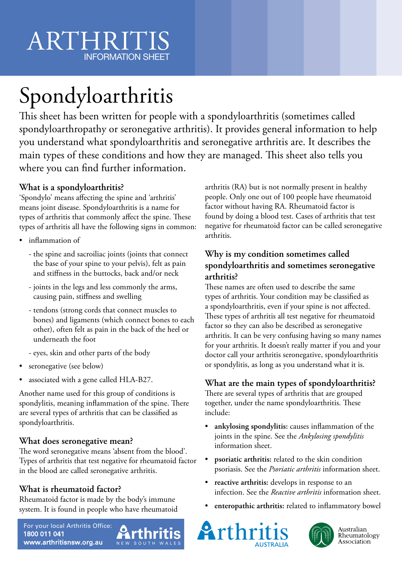# Spondyloarthritis

This sheet has been written for people with a spondyloarthritis (sometimes called spondyloarthropathy or seronegative arthritis). It provides general information to help you understand what spondyloarthritis and seronegative arthritis are. It describes the main types of these conditions and how they are managed. This sheet also tells you where you can find further information.

## **What is a spondyloarthritis?**

'Spondylo' means affecting the spine and 'arthritis' means joint disease. Spondyloarthritis is a name for types of arthritis that commonly affect the spine. These types of arthritis all have the following signs in common:

- inflammation of
	- the spine and sacroiliac joints (joints that connect the base of your spine to your pelvis), felt as pain and stiffness in the buttocks, back and/or neck
	- joints in the legs and less commonly the arms, causing pain, stiffness and swelling
	- tendons (strong cords that connect muscles to bones) and ligaments (which connect bones to each other), often felt as pain in the back of the heel or underneath the foot
	- eyes, skin and other parts of the body
- seronegative (see below)
- associated with a gene called HLA-B27.

Another name used for this group of conditions is spondylitis, meaning inflammation of the spine. There are several types of arthritis that can be classified as spondyloarthritis.

## **What does seronegative mean?**

The word seronegative means 'absent from the blood'. Types of arthritis that test negative for rheumatoid factor in the blood are called seronegative arthritis.

# **What is rheumatoid factor?**

Rheumatoid factor is made by the body's immune system. It is found in people who have rheumatoid



arthritis (RA) but is not normally present in healthy people. Only one out of 100 people have rheumatoid factor without having RA. Rheumatoid factor is found by doing a blood test. Cases of arthritis that test negative for rheumatoid factor can be called seronegative arthritis.

### **Why is my condition sometimes called spondyloarthritis and sometimes seronegative arthritis?**

These names are often used to describe the same types of arthritis. Your condition may be classified as a spondyloarthritis, even if your spine is not affected. These types of arthritis all test negative for rheumatoid factor so they can also be described as seronegative arthritis. It can be very confusing having so many names for your arthritis. It doesn't really matter if you and your doctor call your arthritis seronegative, spondyloarthritis or spondylitis, as long as you understand what it is.

# **What are the main types of spondyloarthritis?**

There are several types of arthritis that are grouped together, under the name spondyloarthritis. These include:

- **ankylosing spondylitis:** causes inflammation of the joints in the spine. See the *Ankylosing spondylitis* information sheet.
- **psoriatic arthritis:** related to the skin condition psoriasis. See the *Psoriatic arthritis* information sheet.
- **reactive arthritis:** develops in response to an infection. See the *Reactive arthritis* information sheet.
- **enteropathic arthritis:** related to inflammatory bowel





Australian Rheumatology Association